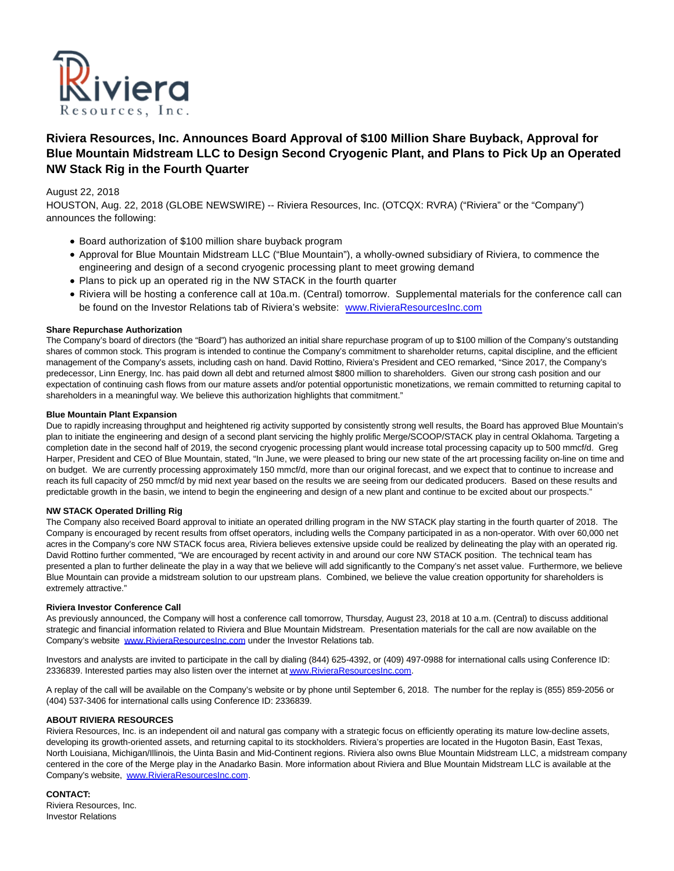

# **Riviera Resources, Inc. Announces Board Approval of \$100 Million Share Buyback, Approval for Blue Mountain Midstream LLC to Design Second Cryogenic Plant, and Plans to Pick Up an Operated NW Stack Rig in the Fourth Quarter**

## August 22, 2018

HOUSTON, Aug. 22, 2018 (GLOBE NEWSWIRE) -- Riviera Resources, Inc. (OTCQX: RVRA) ("Riviera" or the "Company") announces the following:

- Board authorization of \$100 million share buyback program
- Approval for Blue Mountain Midstream LLC ("Blue Mountain"), a wholly-owned subsidiary of Riviera, to commence the engineering and design of a second cryogenic processing plant to meet growing demand
- Plans to pick up an operated rig in the NW STACK in the fourth quarter
- Riviera will be hosting a conference call at 10a.m. (Central) tomorrow. Supplemental materials for the conference call can be found on the Investor Relations tab of Riviera's website: [www.RivieraResourcesInc.com](http://www.rivieraresourcesinc.com/)

### **Share Repurchase Authorization**

The Company's board of directors (the "Board") has authorized an initial share repurchase program of up to \$100 million of the Company's outstanding shares of common stock. This program is intended to continue the Company's commitment to shareholder returns, capital discipline, and the efficient management of the Company's assets, including cash on hand. David Rottino, Riviera's President and CEO remarked, "Since 2017, the Company's predecessor, Linn Energy, Inc. has paid down all debt and returned almost \$800 million to shareholders. Given our strong cash position and our expectation of continuing cash flows from our mature assets and/or potential opportunistic monetizations, we remain committed to returning capital to shareholders in a meaningful way. We believe this authorization highlights that commitment."

#### **Blue Mountain Plant Expansion**

Due to rapidly increasing throughput and heightened rig activity supported by consistently strong well results, the Board has approved Blue Mountain's plan to initiate the engineering and design of a second plant servicing the highly prolific Merge/SCOOP/STACK play in central Oklahoma. Targeting a completion date in the second half of 2019, the second cryogenic processing plant would increase total processing capacity up to 500 mmcf/d. Greg Harper, President and CEO of Blue Mountain, stated, "In June, we were pleased to bring our new state of the art processing facility on-line on time and on budget. We are currently processing approximately 150 mmcf/d, more than our original forecast, and we expect that to continue to increase and reach its full capacity of 250 mmcf/d by mid next year based on the results we are seeing from our dedicated producers. Based on these results and predictable growth in the basin, we intend to begin the engineering and design of a new plant and continue to be excited about our prospects."

### **NW STACK Operated Drilling Rig**

The Company also received Board approval to initiate an operated drilling program in the NW STACK play starting in the fourth quarter of 2018. The Company is encouraged by recent results from offset operators, including wells the Company participated in as a non-operator. With over 60,000 net acres in the Company's core NW STACK focus area, Riviera believes extensive upside could be realized by delineating the play with an operated rig. David Rottino further commented, "We are encouraged by recent activity in and around our core NW STACK position. The technical team has presented a plan to further delineate the play in a way that we believe will add significantly to the Company's net asset value. Furthermore, we believe Blue Mountain can provide a midstream solution to our upstream plans. Combined, we believe the value creation opportunity for shareholders is extremely attractive."

#### **Riviera Investor Conference Call**

As previously announced, the Company will host a conference call tomorrow, Thursday, August 23, 2018 at 10 a.m. (Central) to discuss additional strategic and financial information related to Riviera and Blue Mountain Midstream. Presentation materials for the call are now available on the Company's website [www.RivieraResourcesInc.com u](https://www.globenewswire.com/Tracker?data=xu_AuRfzMlU8ZDasnww86fKhBDx9kkH-DD457X6BY-jnnFbxL11TmGX8DWUUAtAJIMRpZ3FKHXlDFSC0t9a9kTExdS0xyOqWRqG1jBAx_afe9t4VNsN2Mp_PNzu8DL2Q)nder the Investor Relations tab.

Investors and analysts are invited to participate in the call by dialing (844) 625-4392, or (409) 497-0988 for international calls using Conference ID: 2336839. Interested parties may also listen over the internet a[t www.RivieraResourcesInc.com.](https://www.globenewswire.com/Tracker?data=xu_AuRfzMlU8ZDasnww86fKhBDx9kkH-DD457X6BY-jx-pPT9kWC-HMj3-bsUfcSJxH0XRrDahgKvcxTD3bs2RxzeVKeiBuPiac387cwxRuki-KANYjpWuDvlUPPpgp_)

A replay of the call will be available on the Company's website or by phone until September 6, 2018. The number for the replay is (855) 859-2056 or (404) 537-3406 for international calls using Conference ID: 2336839.

### **ABOUT RIVIERA RESOURCES**

Riviera Resources, Inc. is an independent oil and natural gas company with a strategic focus on efficiently operating its mature low-decline assets, developing its growth-oriented assets, and returning capital to its stockholders. Riviera's properties are located in the Hugoton Basin, East Texas, North Louisiana, Michigan/Illinois, the Uinta Basin and Mid-Continent regions. Riviera also owns Blue Mountain Midstream LLC, a midstream company centered in the core of the Merge play in the Anadarko Basin. More information about Riviera and Blue Mountain Midstream LLC is available at the Company's website, [www.RivieraResourcesInc.com.](https://www.globenewswire.com/Tracker?data=xu_AuRfzMlU8ZDasnww86fKhBDx9kkH-DD457X6BY-gGrsJVlghmjy39f6GxeirMgIq1L44OilW7w2h5lwHBsB2X0oDENMboqkib-PBxtybNYm3Ko30hXkPB7sagmh4s)

**CONTACT:** Riviera Resources, Inc. Investor Relations